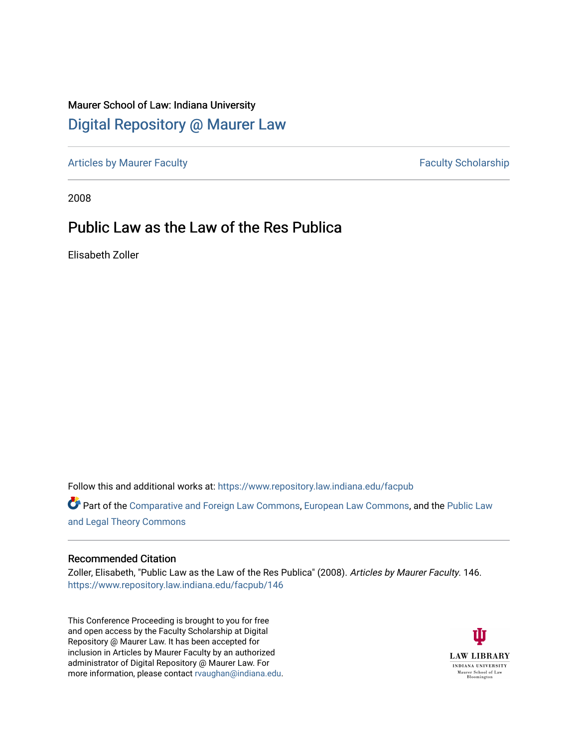# Maurer School of Law: Indiana University [Digital Repository @ Maurer Law](https://www.repository.law.indiana.edu/)

[Articles by Maurer Faculty](https://www.repository.law.indiana.edu/facpub) **Faculty Faculty** Scholarship

2008

# Public Law as the Law of the Res Publica

Elisabeth Zoller

Follow this and additional works at: [https://www.repository.law.indiana.edu/facpub](https://www.repository.law.indiana.edu/facpub?utm_source=www.repository.law.indiana.edu%2Ffacpub%2F146&utm_medium=PDF&utm_campaign=PDFCoverPages)

Part of the [Comparative and Foreign Law Commons,](http://network.bepress.com/hgg/discipline/836?utm_source=www.repository.law.indiana.edu%2Ffacpub%2F146&utm_medium=PDF&utm_campaign=PDFCoverPages) [European Law Commons,](http://network.bepress.com/hgg/discipline/1084?utm_source=www.repository.law.indiana.edu%2Ffacpub%2F146&utm_medium=PDF&utm_campaign=PDFCoverPages) and the [Public Law](http://network.bepress.com/hgg/discipline/871?utm_source=www.repository.law.indiana.edu%2Ffacpub%2F146&utm_medium=PDF&utm_campaign=PDFCoverPages) [and Legal Theory Commons](http://network.bepress.com/hgg/discipline/871?utm_source=www.repository.law.indiana.edu%2Ffacpub%2F146&utm_medium=PDF&utm_campaign=PDFCoverPages) 

#### Recommended Citation

Zoller, Elisabeth, "Public Law as the Law of the Res Publica" (2008). Articles by Maurer Faculty. 146. [https://www.repository.law.indiana.edu/facpub/146](https://www.repository.law.indiana.edu/facpub/146?utm_source=www.repository.law.indiana.edu%2Ffacpub%2F146&utm_medium=PDF&utm_campaign=PDFCoverPages)

This Conference Proceeding is brought to you for free and open access by the Faculty Scholarship at Digital Repository @ Maurer Law. It has been accepted for inclusion in Articles by Maurer Faculty by an authorized administrator of Digital Repository @ Maurer Law. For more information, please contact [rvaughan@indiana.edu](mailto:rvaughan@indiana.edu).

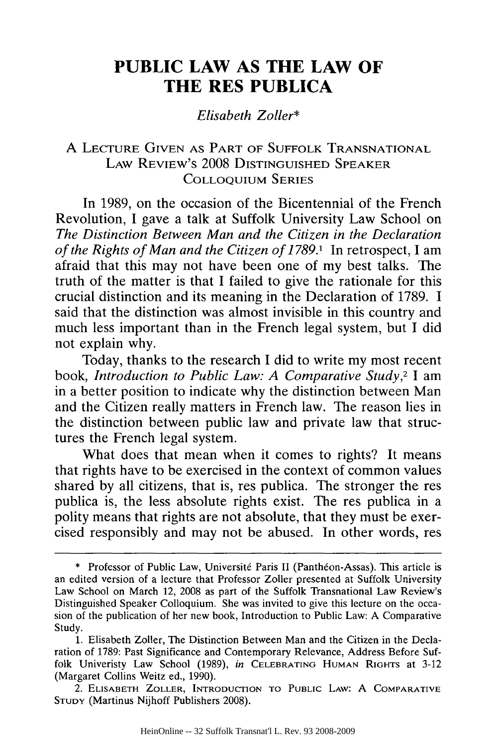# **PUBLIC LAW AS THE LAW OF THE RES PUBLICA**

*Elisabeth Zoller\**

### A LECTURE GIVEN AS PART OF SUFFOLK TRANSNATIONAL LAW REVIEW'S **2008 DISTINGUISHED** SPEAKER COLLOQUIUM SERIES

In 1989, on the occasion of the Bicentennial of the French Revolution, I gave a talk at Suffolk University Law School on *The Distinction Between Man and the Citizen in the Declaration of the Rights of Man and the Citizen of 1789.1* In retrospect, I am afraid that this may not have been one of my best talks. The truth of the matter is that I failed to give the rationale for this crucial distinction and its meaning in the Declaration of 1789. I said that the distinction was almost invisible in this country and much less important than in the French legal system, but I did not explain why.

Today, thanks to the research I did to write my most recent book, *Introduction to Public Law: A Comparative Study,2* I am in a better position to indicate why the distinction between Man and the Citizen really matters in French law. The reason lies in the distinction between public law and private law that structures the French legal system.

What does that mean when it comes to rights? It means that rights have to be exercised in the context of common values shared by all citizens, that is, res publica. The stronger the res publica is, the less absolute rights exist. The res publica in a polity means that rights are not absolute, that they must be exercised responsibly and may not be abused. In other words, res

2. **ELISABETH** ZOLLER, **INTRODUCTION** TO PUBLIC LAW: A COMPARATIVE **STUDY** (Martinus Nijhoff Publishers 2008).

<sup>\*</sup> Professor of Public Law, Université Paris II (Panthéon-Assas). This article is an edited version of a lecture that Professor Zoller presented at Suffolk University Law School on March 12, **2008** as part of the Suffolk Transnational Law Review's Distinguished Speaker Colloquium. She was invited to give this lecture on the occasion of the publication of her new book, Introduction to Public Law: A Comparative Study.

<sup>1.</sup> Elisabeth Zoller, The Distinction Between Man and the Citizen in the Declaration of 1789: Past Significance and Contemporary Relevance, Address Before Suffolk Univeristy Law School (1989), *in* CELEBRATING **HUMAN** RIGHTS at 3-12 (Margaret Collins Weitz ed., 1990).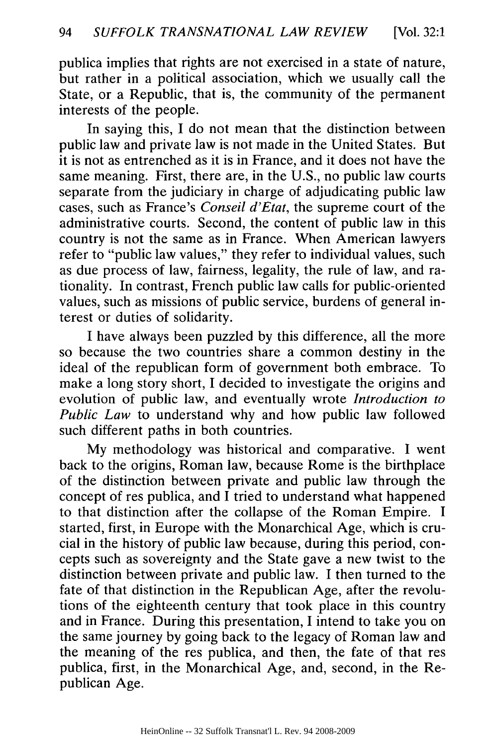publica implies that rights are not exercised in a state of nature, but rather in a political association, which we usually call the State, or a Republic, that is, the community of the permanent interests of the people.

In saying this, I do not mean that the distinction between public law and private law is not made in the United States. But it is not as entrenched as it is in France, and it does not have the same meaning. First, there are, in the U.S., no public law courts separate from the judiciary in charge of adjudicating public law cases, such as France's *Conseil d'Etat,* the supreme court of the administrative courts. Second, the content of public law in this country is not the same as in France. When American lawyers refer to "public law values," they refer to individual values, such as due process of law, fairness, legality, the rule of law, and rationality. In contrast, French public law calls for public-oriented values, such as missions of public service, burdens of general interest or duties of solidarity.

I have always been puzzled by this difference, all the more so because the two countries share a common destiny in the ideal of the republican form of government both embrace. To make a long story short, I decided to investigate the origins and evolution of public law, and eventually wrote *Introduction to Public Law* to understand why and how public law followed such different paths in both countries.

My methodology was historical and comparative. I went back to the origins, Roman law, because Rome is the birthplace of the distinction between private and public law through the concept of res publica, and I tried to understand what happened to that distinction after the collapse of the Roman Empire. I started, first, in Europe with the Monarchical Age, which is crucial in the history of public law because, during this period, concepts such as sovereignty and the State gave a new twist to the distinction between private and public law. I then turned to the fate of that distinction in the Republican Age, after the revolutions of the eighteenth century that took place in this country and in France. During this presentation, I intend to take you on the same journey by going back to the legacy of Roman law and the meaning of the res publica, and then, the fate of that res publica, first, in the Monarchical Age, and, second, in the Republican Age.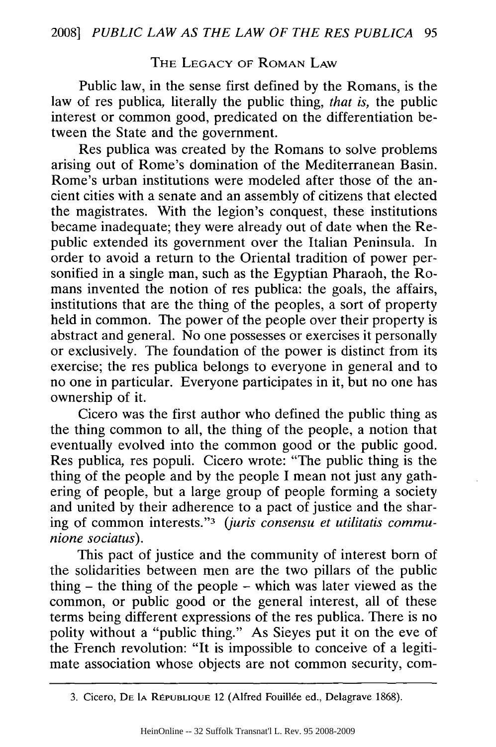#### THE LEGACY OF ROMAN LAW

Public law, in the sense first defined by the Romans, is the law of res publica, literally the public thing, *that is,* the public interest or common good, predicated on the differentiation between the State and the government.

Res publica was created by the Romans to solve problems arising out of Rome's domination of the Mediterranean Basin. Rome's urban institutions were modeled after those of the ancient cities with a senate and an assembly of citizens that elected the magistrates. With the legion's conquest, these institutions became inadequate; they were already out of date when the Republic extended its government over the Italian Peninsula. In order to avoid a return to the Oriental tradition of power personified in a single man, such as the Egyptian Pharaoh, the Romans invented the notion of res publica: the goals, the affairs, institutions that are the thing of the peoples, a sort of property held in common. The power of the people over their property is abstract and general. No one possesses or exercises it personally or exclusively. The foundation of the power is distinct from its exercise; the res publica belongs to everyone in general and to no one in particular. Everyone participates in it, but no one has ownership of it.

Cicero was the first author who defined the public thing as the thing common to all, the thing of the people, a notion that eventually evolved into the common good or the public good. Res publica, res populi. Cicero wrote: "The public thing is the thing of the people and by the people I mean not just any gathering of people, but a large group of people forming a society and united by their adherence to a pact of justice and the sharing of common interests."3 *(juris consensu et utilitatis communione sociatus).*

This pact of justice and the community of interest born of the solidarities between men are the two pillars of the public thing - the thing of the people - which was later viewed as the common, or public good or the general interest, all of these terms being different expressions of the res publica. There is no polity without a "public thing." As Sieyes put it on the eve of the French revolution: "It is impossible to conceive of a legitimate association whose objects are not common security, com-

<sup>3.</sup> Cicero, DE la REPUBLIQUE 12 (Alfred Fouillée ed., Delagrave 1868).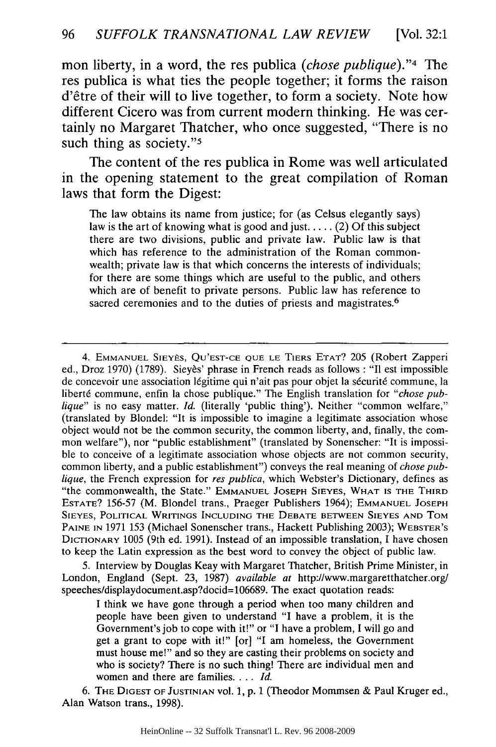mon liberty, in a word, the res publica *(chose publique)."4* The res publica is what ties the people together; it forms the raison d'etre of their will to live together, to form a society. Note how different Cicero was from current modern thinking. He was certainly no Margaret Thatcher, who once suggested, "There is no such thing as society."<sup>5</sup>

The content of the res publica in Rome was well articulated in the opening statement to the great compilation of Roman laws that form the Digest:

The law obtains its name from justice; for (as Celsus elegantly says) law is the art of knowing what is good and just **.....** (2) Of this subject there are two divisions, public and private law. Public law is that which has reference to the administration of the Roman commonwealth; private law is that which concerns the interests of individuals; for there are some things which are useful to the public, and others which are of benefit to private persons. Public law has reference to sacred ceremonies and to the duties of priests and magistrates.<sup>6</sup>

5. Interview by Douglas Keay with Margaret Thatcher, British Prime Minister, in London, England (Sept. 23, 1987) *available at* http://www.margaretthatcher.org/ speeches/displaydocument.asp?docid=106689. The exact quotation reads:

I think we have gone through a period when too many children and people have been given to understand "I have a problem, it is the Government's job to cope with it!" or "I have a problem, I will go and get a grant to cope with it!" [or] "I am homeless, the Government must house me!" and so they are casting their problems on society and who is society? There is no such thing! There are individual men and women and there are families. ... *Id.*

6. THE **DIGEST** OF **JUSTINIAN Vol. 1,** p. 1 (Theodor Mommsen & Paul Kruger ed., Alan Watson trans., 1998).

<sup>4.</sup> **EMMANUEL** SIEYES, **QU'EST-CE QUE LE** TIERS ETAT? 205 (Robert Zapperi ed., Droz 1970) (1789). Sieyès' phrase in French reads as follows : "Il est impossible de concevoir une association légitime qui n'ait pas pour objet la sécurité commune, la liberté commune, enfin la chose publique." The English translation for "chose pub*lique"* is no easy matter. *Id.* (literally 'public thing'). Neither "common welfare," (translated by Blondel: "It is impossible to imagine a legitimate association whose object would not be the common security, the common liberty, and, finally, the common welfare"), nor "public establishment" (translated by Sonenscher: "It is impossible to conceive of a legitimate association whose objects are not common security, common liberty, and a public establishment") conveys the real meaning of *chose publique,* the French expression for *res publica,* which Webster's Dictionary, defines as "the commonwealth, the State." EMMANUEL JOSEPH SIEYES, WHAT **IS** THE THIRD **ESTATE?** 156-57 (M. Blondel trans., Praeger Publishers 1964); EMMANUEL **JOSEPH SIEYES,** POLITICAL WRITINGS **INCLUDING** THE **DEBATE** BETWEEN **SIEYES AND** TOM PAINE **IN** 1971 **153** (Michael Sonenscher trans., Hackett Publishing 2003); WEBSTER'S DICTIONARY 1005 (9th ed. 1991). Instead of an impossible translation, I have chosen to keep the Latin expression as the best word to convey the object of public law.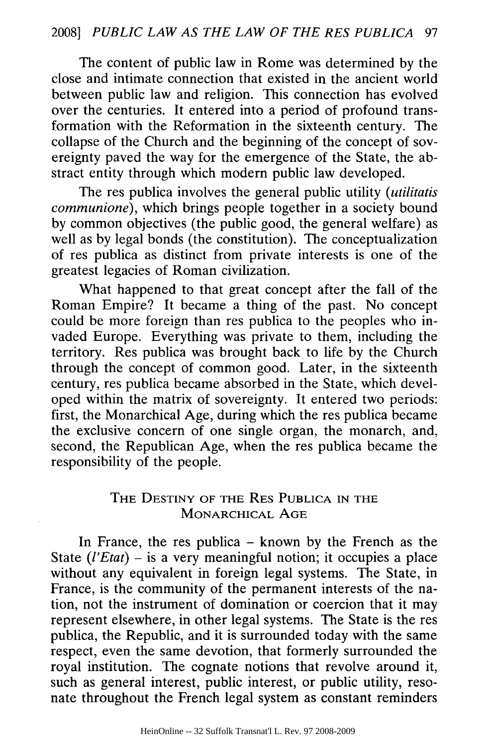The content of public law in Rome was determined by the close and intimate connection that existed in the ancient world between public law and religion. This connection has evolved over the centuries. It entered into a period of profound transformation with the Reformation in the sixteenth century. The collapse of the Church and the beginning of the concept of sovereignty paved the way for the emergence of the State, the abstract entity through which modern public law developed.

The res publica involves the general public utility *(utilitatis communione),* which brings people together in a society bound by common objectives (the public good, the general welfare) as well as by legal bonds (the constitution). The conceptualization of res publica as distinct from private interests is one of the greatest legacies of Roman civilization.

What happened to that great concept after the fall of the Roman Empire? It became a thing of the past. No concept could be more foreign than res publica to the peoples who invaded Europe. Everything was private to them, including the territory. Res publica was brought back to life by the Church through the concept of common good. Later, in the sixteenth century, res publica became absorbed in the State, which developed within the matrix of sovereignty. It entered two periods: first, the Monarchical Age, during which the res publica became the exclusive concern of one single organ, the monarch, and, second, the Republican Age, when the res publica became the responsibility of the people.

## THE **DESTINY** OF THE RES **PUBLICA IN** THE **MONARCHICAL AGE**

In France, the res publica  $-$  known by the French as the State *(l'Etat)* – is a very meaningful notion; it occupies a place without any equivalent in foreign legal systems. The State, in France, is the community of the permanent interests of the nation, not the instrument of domination or coercion that it may represent elsewhere, in other legal systems. The State is the res publica, the Republic, and it is surrounded today with the same respect, even the same devotion, that formerly surrounded the royal institution. The cognate notions that revolve around it, such as general interest, public interest, or public utility, resonate throughout the French legal system as constant reminders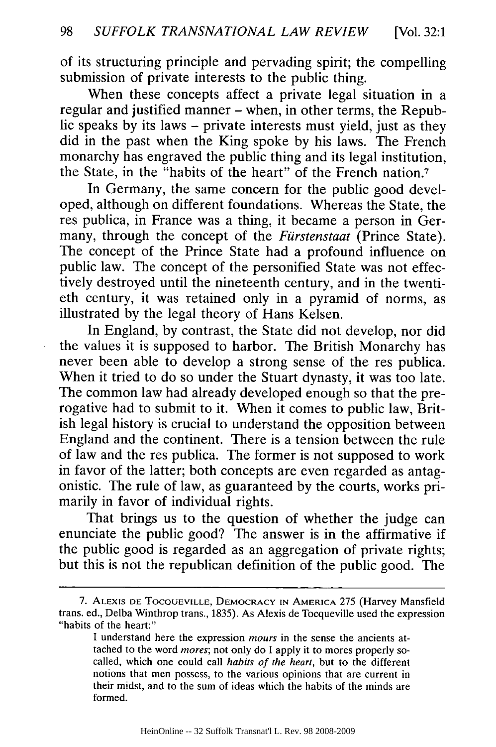of its structuring principle and pervading spirit; the compelling submission of private interests to the public thing.

When these concepts affect a private legal situation in a regular and justified manner – when, in other terms, the Republic speaks by its laws - private interests must yield, just as they did in the past when the King spoke by his laws. The French monarchy has engraved the public thing and its legal institution, the State, in the "habits of the heart" of the French nation.7

In Germany, the same concern for the public good developed, although on different foundations. Whereas the State, the res publica, in France was a thing, it became a person in Germany, through the concept of the *Furstenstaat* (Prince State). The concept of the Prince State had a profound influence on public law. The concept of the personified State was not effectively destroyed until the nineteenth century, and in the twentieth century, it was retained only in a pyramid of norms, as illustrated by the legal theory of Hans Kelsen.

In England, by contrast, the State did not develop, nor did the values it is supposed to harbor. The British Monarchy has never been able to develop a strong sense of the res publica. When it tried to do so under the Stuart dynasty, it was too late. The common law had already developed enough so that the prerogative had to submit to it. When it comes to public law, British legal history is crucial to understand the opposition between England and the continent. There is a tension between the rule of law and the res publica. The former is not supposed to work in favor of the latter; both concepts are even regarded as antagonistic. The rule of law, as guaranteed by the courts, works primarily in favor of individual rights.

That brings us to the question of whether the judge can enunciate the public good? The answer is in the affirmative if the public good is regarded as an aggregation of private rights; but this is not the republican definition of the public good. The

<sup>7.</sup> **ALEXIS DE** TOCQUEVILLE, DEMOCRACY **IN** AMERICA 275 (Harvey Mansfield trans. ed., Delba Winthrop trans., 1835). As Alexis de Tocqueville used the expression "habits of the heart:"

I understand here the expression *mours* in the sense the ancients attached to the word *mores;* not only do I apply it to mores properly socalled, which one could call *habits of the heart,* but to the different notions that men possess, to the various opinions that are current in their midst, and to the sum of ideas which the habits of the minds are formed.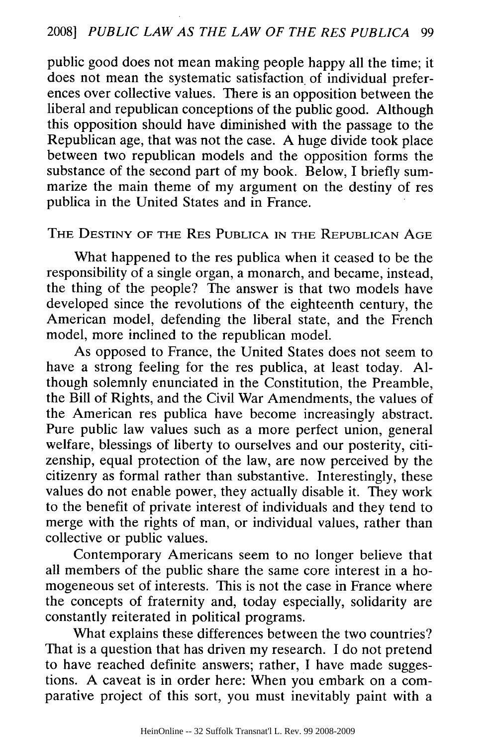public good does not mean making people happy all the time; it does not mean the systematic satisfaction of individual preferences over collective values. There is an opposition between the liberal and republican conceptions of the public good. Although this opposition should have diminished with the passage to the Republican age, that was not the case. A huge divide took place between two republican models and the opposition forms the substance of the second part of my book. Below, I briefly summarize the main theme of my argument on the destiny of res publica in the United States and in France.

#### THE **DESTINY** OF THE RES **PUBLICA IN** THE **REPUBLICAN AGE**

What happened to the res publica when it ceased to be the responsibility of a single organ, a monarch, and became, instead, the thing of the people? The answer is that two models have developed since the revolutions of the eighteenth century, the American model, defending the liberal state, and the French model, more inclined to the republican model.

As opposed to France, the United States does not seem to have a strong feeling for the res publica, at least today. Although solemnly enunciated in the Constitution, the Preamble, the Bill of Rights, and the Civil War Amendments, the values of the American res publica have become increasingly abstract. Pure public law values such as a more perfect union, general welfare, blessings of liberty to ourselves and our posterity, citizenship, equal protection of the law, are now perceived by the citizenry as formal rather than substantive. Interestingly, these values do not enable power, they actually disable it. They work to the benefit of private interest of individuals and they tend to merge with the rights of man, or individual values, rather than collective or public values.

Contemporary Americans seem to no longer believe that all members of the public share the same core interest in a homogeneous set of interests. This is not the case in France where the concepts of fraternity and, today especially, solidarity are constantly reiterated in political programs.

What explains these differences between the two countries? That is a question that has driven my research. I do not pretend to have reached definite answers; rather, I have made suggestions. A caveat is in order here: When you embark on a comparative project of this sort, you must inevitably paint with a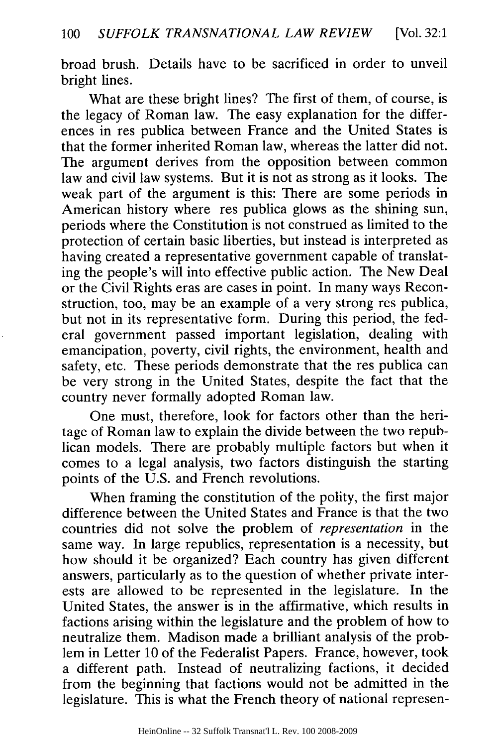broad brush. Details have to be sacrificed in order to unveil bright lines.

What are these bright lines? The first of them, of course, is the legacy of Roman law. The easy explanation for the differences in res publica between France and the United States is that the former inherited Roman law, whereas the latter did not. The argument derives from the opposition between common law and civil law systems. But it is not as strong as it looks. The weak part of the argument is this: There are some periods in American history where res publica glows as the shining sun, periods where the Constitution is not construed as limited to the protection of certain basic liberties, but instead is interpreted as having created a representative government capable of translating the people's will into effective public action. The New Deal or the Civil Rights eras are cases in point. In many ways Reconstruction, too, may be an example of a very strong res publica, but not in its representative form. During this period, the federal government passed important legislation, dealing with emancipation, poverty, civil rights, the environment, health and safety, etc. These periods demonstrate that the res publica can be very strong in the United States, despite the fact that the country never formally adopted Roman law.

One must, therefore, look for factors other than the heritage of Roman law to explain the divide between the two republican models. There are probably multiple factors but when it comes to a legal analysis, two factors distinguish the starting points of the U.S. and French revolutions.

When framing the constitution of the polity, the first major difference between the United States and France is that the two countries did not solve the problem of *representation* in the same way. In large republics, representation is a necessity, but how should it be organized? Each country has given different answers, particularly as to the question of whether private interests are allowed to be represented in the legislature. In the United States, the answer is in the affirmative, which results in factions arising within the legislature and the problem of how to neutralize them. Madison made a brilliant analysis of the problem in Letter 10 of the Federalist Papers. France, however, took a different path. Instead of neutralizing factions, it decided from the beginning that factions would not be admitted in the legislature. This is what the French theory of national represen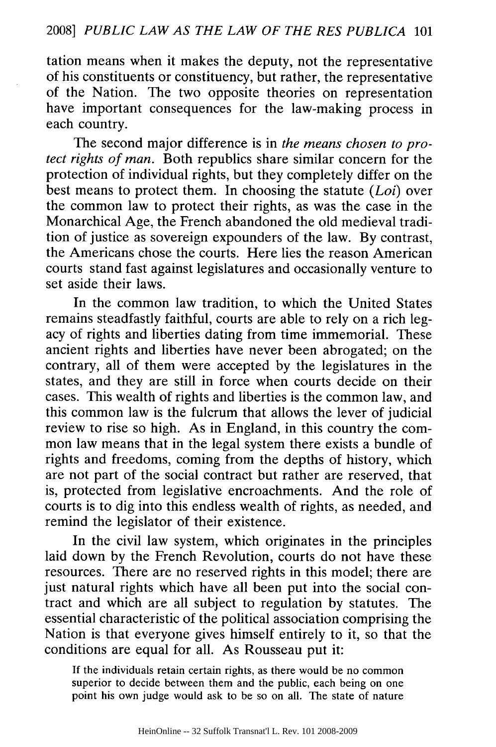tation means when it makes the deputy, not the representative of his constituents or constituency, but rather, the representative of the Nation. The two opposite theories on representation have important consequences for the law-making process in each country.

The second major difference is in *the means chosen to protect rights of man.* Both republics share similar concern for the protection of individual rights, but they completely differ on the best means to protect them. In choosing the statute *(Loi)* over the common law to protect their rights, as was the case in the Monarchical Age, the French abandoned the old medieval tradition of justice as sovereign expounders of the law. By contrast, the Americans chose the courts. Here lies the reason American courts stand fast against legislatures and occasionally venture to set aside their laws.

In the common law tradition, to which the United States remains steadfastly faithful, courts are able to rely on a rich legacy of rights and liberties dating from time immemorial. These ancient rights and liberties have never been abrogated; on the contrary, all of them were accepted by the legislatures in the states, and they are still in force when courts decide on their cases. This wealth of rights and liberties is the common law, and this common law is the fulcrum that allows the lever of judicial review to rise so high. As in England, in this country the common law means that in the legal system there exists a bundle of rights and freedoms, coming from the depths of history, which are not part of the social contract but rather are reserved, that is, protected from legislative encroachments. And the role of courts is to dig into this endless wealth of rights, as needed, and remind the legislator of their existence.

In the civil law system, which originates in the principles laid down by the French Revolution, courts do not have these resources. There are no reserved rights in this model; there are just natural rights which have all been put into the social contract and which are all subject to regulation by statutes. The essential characteristic of the political association comprising the Nation is that everyone gives himself entirely to it, so that the conditions are equal for all. As Rousseau put it:

If the individuals retain certain rights, as there would be no common superior to decide between them and the public, each being on one point his own judge would ask to be so on all. The state of nature